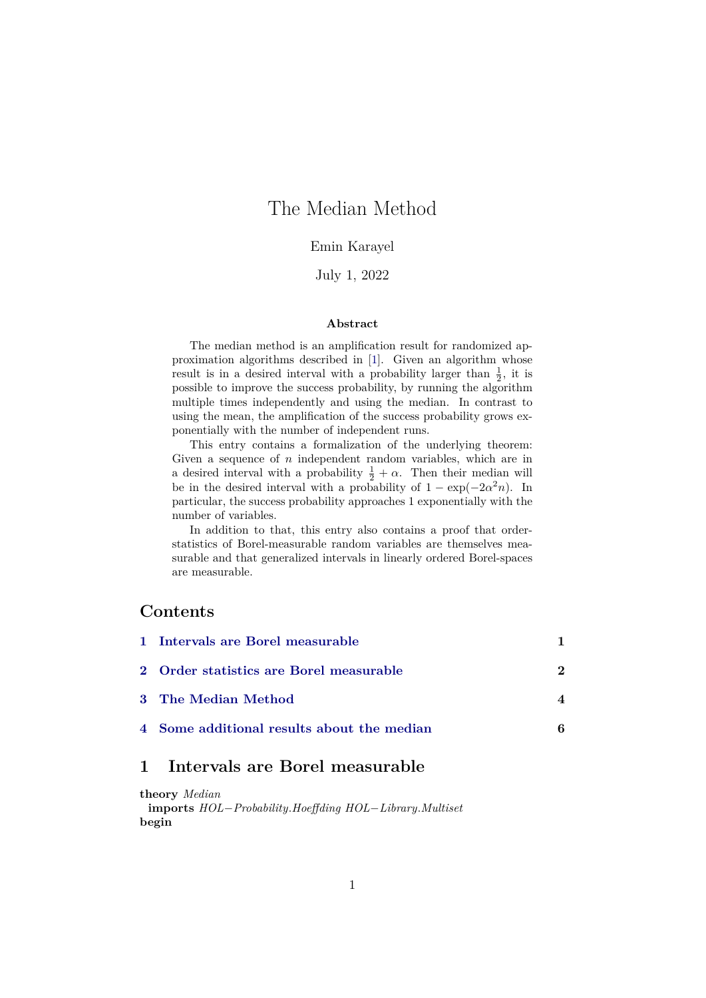# The Median Method

### Emin Karayel

#### July 1, 2022

#### **Abstract**

The median method is an amplification result for randomized approximation algorithms described in [\[1\]](#page-6-0). Given an algorithm whose result is in a desired interval with a probability larger than  $\frac{1}{2}$ , it is possible to improve the success probability, by running the algorithm multiple times independently and using the median. In contrast to using the mean, the amplification of the success probability grows exponentially with the number of independent runs.

This entry contains a formalization of the underlying theorem: Given a sequence of  $n$  independent random variables, which are in a desired interval with a probability  $\frac{1}{2} + \alpha$ . Then their median will be in the desired interval with a probability of  $1 - \exp(-2\alpha^2 n)$ . In particular, the success probability approaches 1 exponentially with the number of variables.

In addition to that, this entry also contains a proof that orderstatistics of Borel-measurable random variables are themselves measurable and that generalized intervals in linearly ordered Borel-spaces are measurable.

### **Contents**

| 1 Intervals are Borel measurable           |   |
|--------------------------------------------|---|
| 2 Order statistics are Borel measurable    | 2 |
| 3 The Median Method                        |   |
| 4 Some additional results about the median |   |

### <span id="page-0-0"></span>**1 Intervals are Borel measurable**

**theory** *Median* **imports** *HOL*−*Probability*.*Hoeffding HOL*−*Library*.*Multiset* **begin**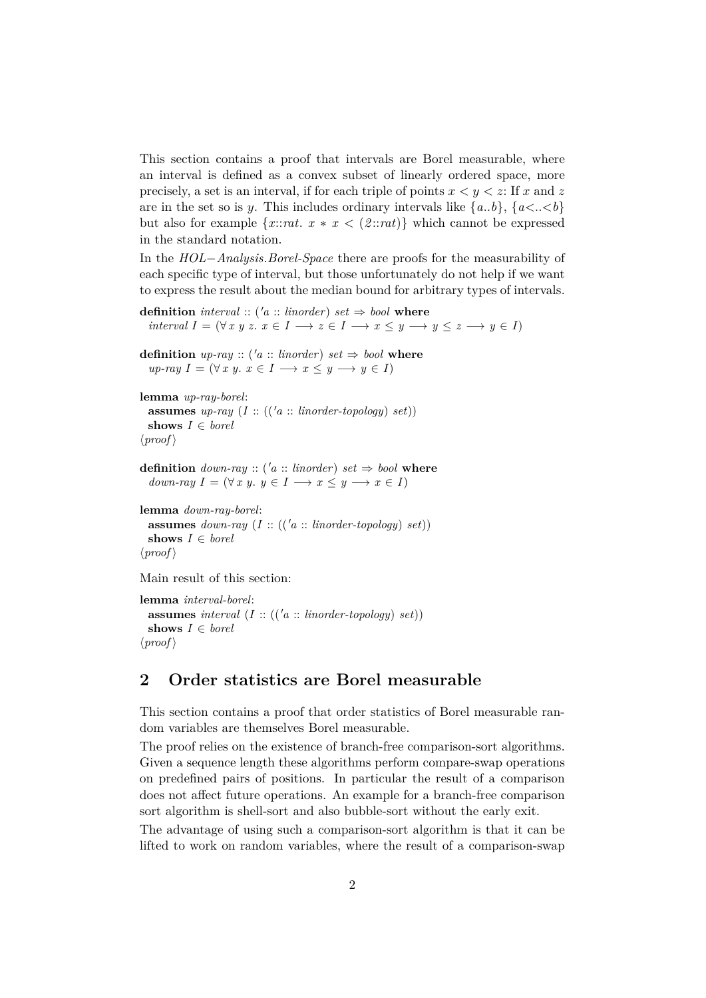This section contains a proof that intervals are Borel measurable, where an interval is defined as a convex subset of linearly ordered space, more precisely, a set is an interval, if for each triple of points  $x < y < z$ : If x and z are in the set so is y. This includes ordinary intervals like  $\{a..b\}, \{a < .\lt b\}$ but also for example  $\{x::rat. \ x * x \leq (2::rat)\}\$  which cannot be expressed in the standard notation.

In the *HOL*−*Analysis*.*Borel-Space* there are proofs for the measurability of each specific type of interval, but those unfortunately do not help if we want to express the result about the median bound for arbitrary types of intervals.

```
definition interval :: ('a :: linorder) set \Rightarrow bool where
   interval I = (\forall x \ y \ z. \ x \in I \longrightarrow z \in I \longrightarrow x \leq y \longrightarrow y \leq z \longrightarrow y \in I)
```

```
definition up\text{-}ray :: ('a :: linorder) set \Rightarrow bool where
   up\text{-}ray\ I = (\forall x \ y. \ x \in I \longrightarrow x \leq y \longrightarrow y \in I)
```

```
lemma up-ray-borel:
  assumes up\text{-}ray (I :: (('a :: linorder-topology) set))
  shows I ∈ borel
\langle proof \rangle
```

```
definition down\text{-}ray :: ('a :: linorder) set \Rightarrow bool where
  down-ray I = (\forall x \ y, \ y \in I \longrightarrow x \leq y \longrightarrow x \in I)
```

```
lemma down-ray-borel:
  assumes down-ray (I:: ((a::<i>linear-topology</i>) set))shows I ∈ borel
\langle proof \rangle
```
Main result of this section:

```
lemma interval-borel:
 assumes interval (I:: ((a:: linorder-topology) set))shows I ∈ borel
\langle proof \rangle
```
### <span id="page-1-0"></span>**2 Order statistics are Borel measurable**

This section contains a proof that order statistics of Borel measurable random variables are themselves Borel measurable.

The proof relies on the existence of branch-free comparison-sort algorithms. Given a sequence length these algorithms perform compare-swap operations on predefined pairs of positions. In particular the result of a comparison does not affect future operations. An example for a branch-free comparison sort algorithm is shell-sort and also bubble-sort without the early exit.

The advantage of using such a comparison-sort algorithm is that it can be lifted to work on random variables, where the result of a comparison-swap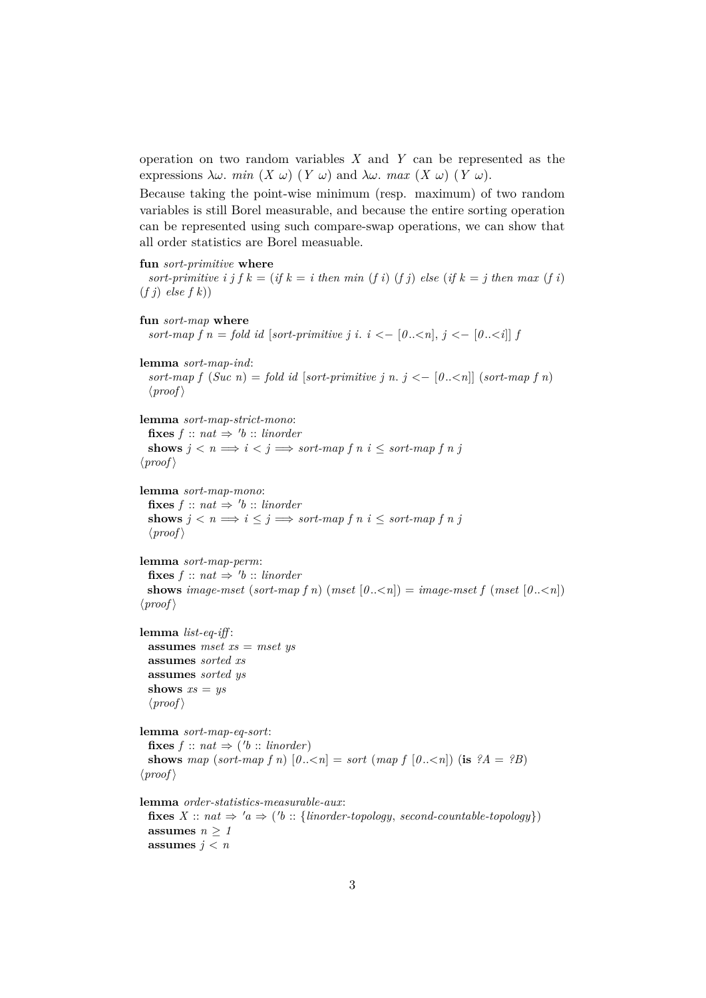operation on two random variables *X* and *Y* can be represented as the expressions  $\lambda \omega$ . *min*  $(X \omega)$   $(Y \omega)$  and  $\lambda \omega$ . *max*  $(X \omega)$   $(Y \omega)$ .

Because taking the point-wise minimum (resp. maximum) of two random variables is still Borel measurable, and because the entire sorting operation can be represented using such compare-swap operations, we can show that all order statistics are Borel measuable.

#### **fun** *sort-primitive* **where**

*sort-primitive i j f k* = (*if k* = *i* then min (*f i*) (*f j*) *else* (*if k* = *j* then max (*f i*) (*f j*) *else f k*))

```
fun sort-map where
  sort-map f n = \text{fold } id [sort-primitive j i, i < - [0, \lt n], j < - [0, \lt i]] flemma sort-map-ind:
  sort-map f (Suc\ n) = fold\ id\ [sort-primitive\ j\ n\ j < -\ [0..<i>n</i>]]\ (sort-map\ f\ n)\langle proof \ranglelemma sort-map-strict-mono:
  \textbf{fixes } f :: nat \Rightarrow 'b :: \textit{linorder}shows j < n \implies i < j \implies sort-map \ f \ n \ i < sort-map \ f \ n \ j\langle proof \ranglelemma sort-map-mono:
  \textbf{fixes } f :: nat \Rightarrow 'b :: \textit{linorder}shows j < n \implies i \leq j \implies sort-map \ f \ n \ i \leq sort-map \ f \ n \ j\langle proof \ranglelemma sort-map-perm:
  \textbf{fixes } f :: nat \Rightarrow 'b :: \textit{linorder}shows image-mset (sort-map f n) (mset [0..\le n]) = image-mset f (mset [0..\le n])
\langle proof \ranglelemma list-eq-iff :
```

```
assumes mset xs = mset ys
assumes sorted xs
assumes sorted ys
shows xs = ys\langle proof \rangle
```
**lemma** *sort-map-eq-sort*:  $\textbf{fixes } f :: nat \Rightarrow ('b :: \textit{linorder})$ **shows** map (sort-map f n)  $[0..\le n] = sort \text{ (map } f \text{ [}0..\le n] \text{) (is } ?A = ?B$ )  $\langle proof \rangle$ 

**lemma** *order-statistics-measurable-aux*:

 $fixes X :: nat \Rightarrow 'a \Rightarrow ('b :: {linorder-topology, second-countable-topology})$ **assumes**  $n \geq 1$ **assumes**  $j < n$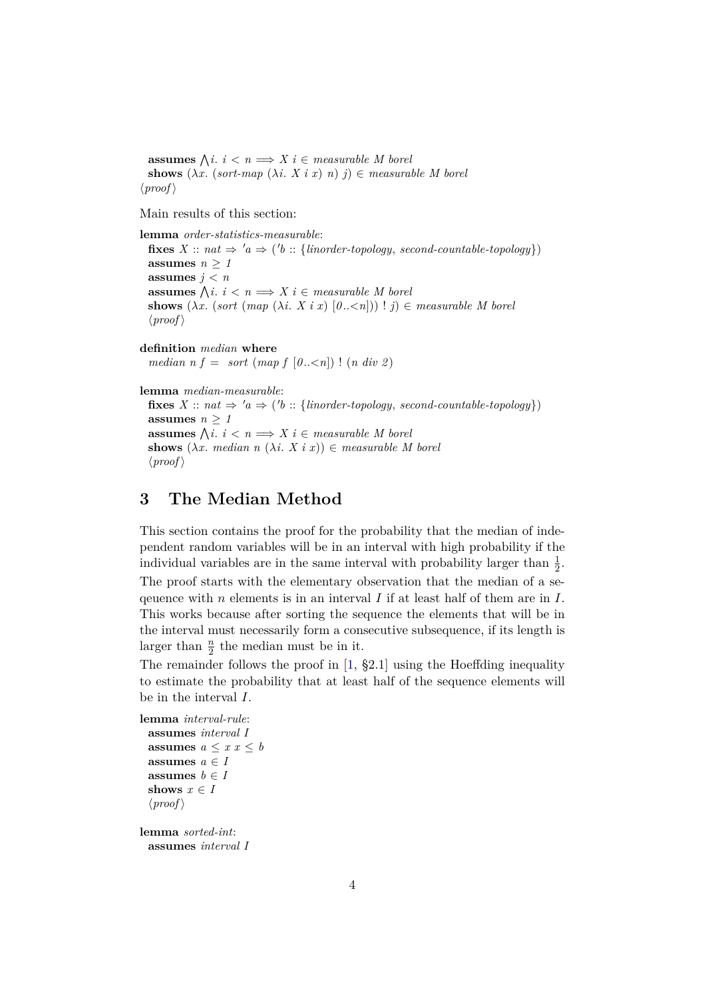**assumes**  $\bigwedge i : i < n \Longrightarrow X \, i \in measurable \, M \, borei$ **shows**  $(\lambda x. (sort-map  $(\lambda i. X i x) n)$  j)  $\in$  measurable M borel$  $\langle proof \rangle$ 

Main results of this section:

**lemma** *order-statistics-measurable*:  $\textbf{fixes } X :: nat \Rightarrow 'a \Rightarrow ('b :: \{ \textit{linorder-topology}, \textit{second-countable-topology} \})$ **assumes**  $n \geq 1$ **assumes**  $j < n$ **assumes**  $\bigwedge i : i < n \Longrightarrow X \, i \in measurable \, M \, borei$ **shows**  $(\lambda x. \text{ (sort } (map \ (\lambda i. \ X \ i \ x) \ [0..< n])) ! j) \in measurable \ M \ borel$  $\langle proof \rangle$ 

**definition** *median* **where** *median n f* = *sort* (*map f* [0....,*n*]) ! (*n div 2*)

**lemma** *median-measurable*:  $fixes X :: nat \Rightarrow 'a \Rightarrow ('b :: {linorder-topology, second-countable-topology})$ **assumes**  $n \geq 1$ **assumes**  $\bigwedge i : i < n \Longrightarrow X \, i \in measurable \, M \, borei$ **shows**  $(\lambda x$ . *median*  $n (\lambda i \cdot X i x)) \in$  *measurable M borel*  $\langle proof \rangle$ 

# <span id="page-3-0"></span>**3 The Median Method**

This section contains the proof for the probability that the median of independent random variables will be in an interval with high probability if the individual variables are in the same interval with probability larger than  $\frac{1}{2}$ .

The proof starts with the elementary observation that the median of a sequence with n elements is in an interval I if at least half of them are in I. This works because after sorting the sequence the elements that will be in the interval must necessarily form a consecutive subsequence, if its length is larger than  $\frac{n}{2}$  the median must be in it.

The remainder follows the proof in [\[1,](#page-6-0) §2.1] using the Hoeffding inequality to estimate the probability that at least half of the sequence elements will be in the interval I.

```
lemma interval-rule:
 assumes interval I
 assumes a \leq x \leq bassumes a \in Iassumes b \in Ishows x \in I\langle proof \ranglelemma sorted-int:
```
**assumes** *interval I*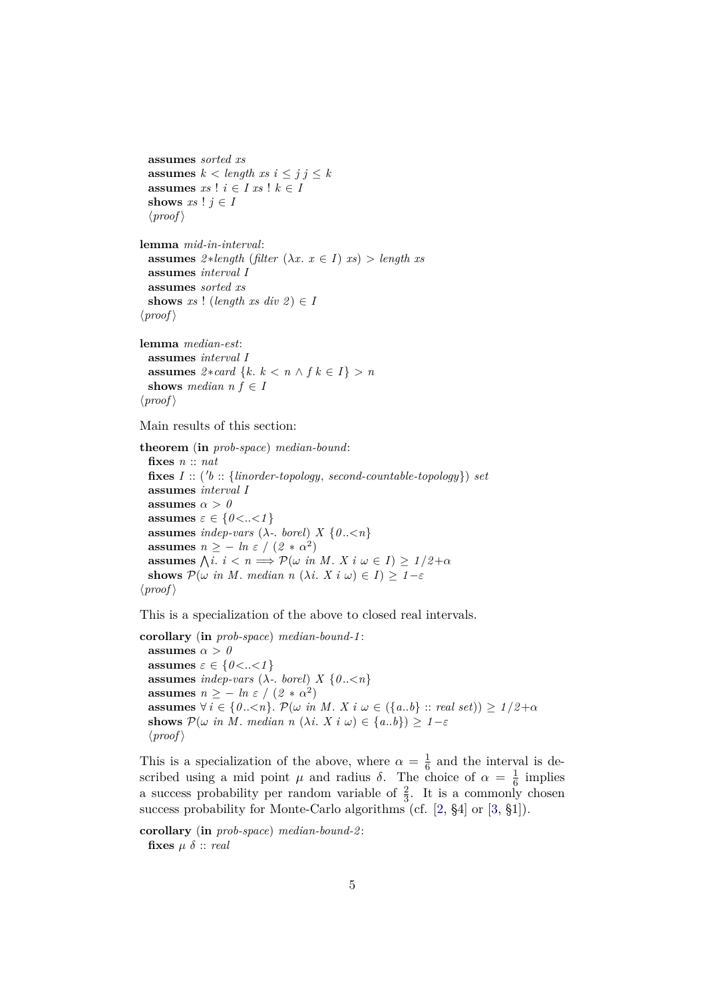```
assumes sorted xs
 assumes k < length xs i \leq j j \leq kassumes xs ! i \in I xs ! k \in Ishows xs ! j \in I\langle proof \ranglelemma mid-in-interval:
 assumes 2 * length (filter (\lambda x. x \in I) xs) > length xsassumes interval I
 assumes sorted xs
 shows xs ! (length xs div 2) \in I
\langle proof \rangle
```

```
lemma median-est:
 assumes interval I
 assumes 2 * card \{k, k < n \wedge f k \in I\} > nshows median n f \in I\langle proof \rangle
```
#### Main results of this section:

**theorem** (**in** *prob-space*) *median-bound*: **fixes** *n* :: *nat*  $fixes I :: ('b :: \{linorder-topology, second-countable-topology\})$  *set* **assumes** *interval I* **assumes**  $\alpha > 0$ **assumes**  $\varepsilon \in \{0 < . . < 1\}$ **assumes** *indep-vars* ( $\lambda$ -. *borel*) *X* { $0..\leq n$ } **assumes**  $n \ge -ln \ \varepsilon / (2 * \alpha^2)$ **assumes**  $\bigwedge$ *i*.  $i < n \implies \mathcal{P}(\omega \text{ in } M. X \text{ i } \omega \in I) \geq 1/2 + \alpha$ **shows**  $\mathcal{P}(\omega$  *in M*. *median n*  $(\lambda i, X i \omega) \in I$ ) > 1-ε  $\langle proof \rangle$ 

This is a specialization of the above to closed real intervals.

**corollary** (**in** *prob-space*) *median-bound-1* : **assumes**  $\alpha > 0$ **assumes**  $\varepsilon \in \{0 \lt ... \lt 1\}$ **assumes** *indep-vars* ( $\lambda$ -. *borel*)  $X \{0..< n\}$ **assumes**  $n \ge -ln \varepsilon / (2 * \alpha^2)$ **assumes**  $\forall i \in \{0..< n\}$ .  $\mathcal{P}(\omega \text{ in } M. X \text{ is } \omega \in (\{a..b\} :: \text{ real set}) \geq 1/2 + \alpha$ **shows**  $\mathcal{P}(\omega \text{ in } M. \text{ median } n \ (\lambda i. \ X \text{ i } \omega) \in \{a..b\}) \geq 1-\varepsilon$  $\langle proof \rangle$ 

This is a specialization of the above, where  $\alpha = \frac{1}{6}$  $\frac{1}{6}$  and the interval is described using a mid point  $\mu$  and radius  $\delta$ . The choice of  $\alpha = \frac{1}{6}$  $\frac{1}{6}$  implies a success probability per random variable of  $\frac{2}{3}$ . It is a commonly chosen success probability for Monte-Carlo algorithms (cf. [\[2,](#page-6-1) §4] or [\[3,](#page-6-2) §1]).

**corollary** (**in** *prob-space*) *median-bound-2* : fixes  $\mu \delta$  :: *real*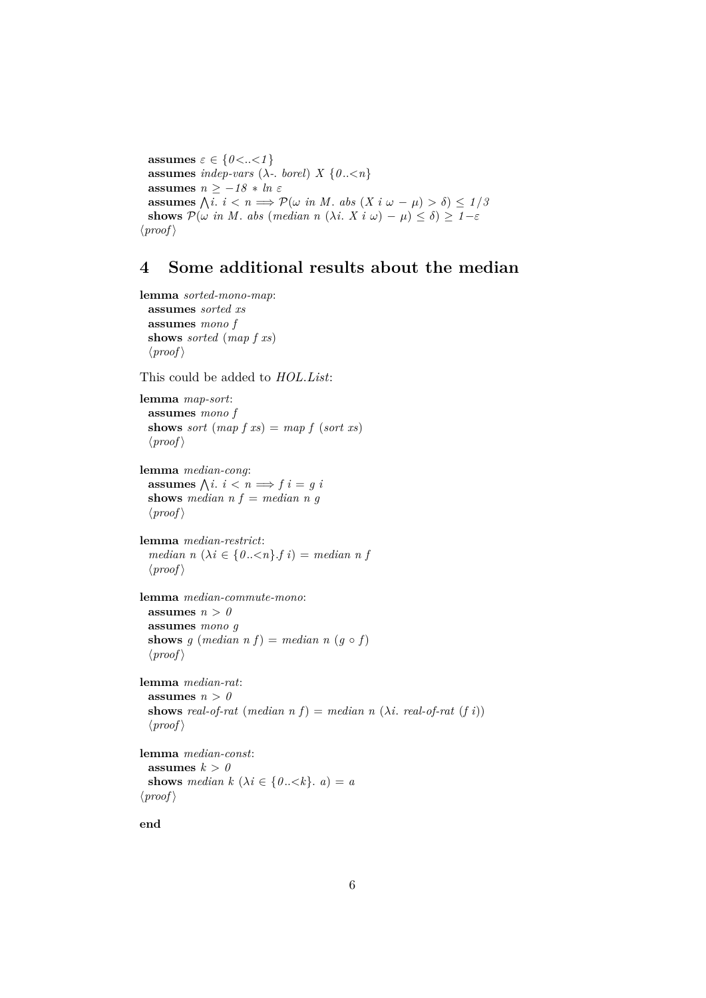**assumes**  $\varepsilon \in \{0 < . . < 1\}$ **assumes** *indep-vars* ( $\lambda$ -. *borel*)  $X \{0..< n\}$ **assumes**  $n \ge -18 * ln \varepsilon$ **assumes**  $\bigwedge i : i < n \Longrightarrow \mathcal{P}(\omega \text{ in } M \text{ and } \omega - \mu) > \delta \leq 1/5$ **shows**  $\mathcal{P}(\omega \text{ in } M. \text{ abs } (\text{median } n \ (\lambda i. \ X \text{ i } \omega) - \mu) \leq \delta) \geq 1 - \varepsilon$  $\langle proof \rangle$ 

## <span id="page-5-0"></span>**4 Some additional results about the median**

```
lemma sorted-mono-map:
 assumes sorted xs
 assumes mono f
 shows sorted (map f xs)
 \langle proof \rangle
```
This could be added to *HOL*.*List*:

```
lemma map-sort:
 assumes mono f
 shows sort (map\ f\ xs) = map\ f\ (sort\ xs)\langle proof \rangle
```
**lemma** *median-cong*: **assumes**  $\bigwedge i : i < n \Longrightarrow f \, i = g \, i$ **shows** *median*  $n f = median n g$  $\langle proof \rangle$ 

```
lemma median-restrict:
  median n (\lambda i \in \{0..\leq n\} \cdot f \}) = median \space n \space f\langle proof \rangle
```

```
lemma median-commute-mono:
 assumes n > 0assumes mono g
 shows g (median n f) = median n (g \circ f)\langle proof \rangle
```

```
lemma median-rat:
 assumes n > 0shows real-of-rat (median n f) = median n (\lambda i. real-of-rat (f i))
 \langle proof \rangle
```

```
lemma median-const:
  assumes k > 0shows median k (\lambda i \in \{0..\le k\}. a) = a
\langle proof \rangle
```

```
end
```